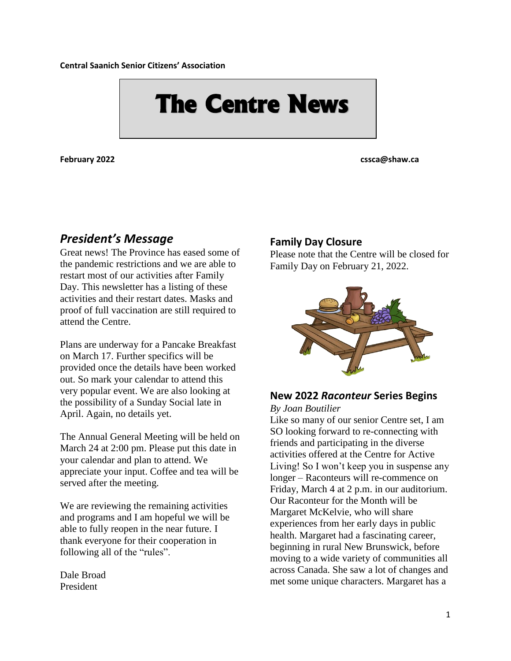**Central Saanich Senior Citizens' Association**

# **The Centre News**

**February 2022 cssca@shaw.ca**

#### *President's Message*

Great news! The Province has eased some of the pandemic restrictions and we are able to restart most of our activities after Family Day. This newsletter has a listing of these activities and their restart dates. Masks and proof of full vaccination are still required to attend the Centre.

Plans are underway for a Pancake Breakfast on March 17. Further specifics will be provided once the details have been worked out. So mark your calendar to attend this very popular event. We are also looking at the possibility of a Sunday Social late in April. Again, no details yet.

The Annual General Meeting will be held on March 24 at 2:00 pm. Please put this date in your calendar and plan to attend. We appreciate your input. Coffee and tea will be served after the meeting.

We are reviewing the remaining activities and programs and I am hopeful we will be able to fully reopen in the near future. I thank everyone for their cooperation in following all of the "rules".

Dale Broad President

#### **Family Day Closure**

Please note that the Centre will be closed for Family Day on February 21, 2022.



### **New 2022** *Raconteur* **Series Begins**

*By Joan Boutilier*

Like so many of our senior Centre set, I am SO looking forward to re-connecting with friends and participating in the diverse activities offered at the Centre for Active Living! So I won't keep you in suspense any longer – Raconteurs will re-commence on Friday, March 4 at 2 p.m. in our auditorium. Our Raconteur for the Month will be Margaret McKelvie, who will share experiences from her early days in public health. Margaret had a fascinating career, beginning in rural New Brunswick, before moving to a wide variety of communities all across Canada. She saw a lot of changes and met some unique characters. Margaret has a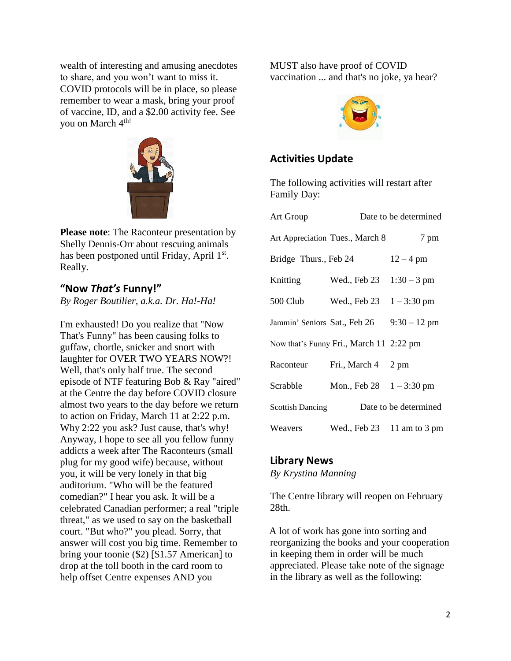wealth of interesting and amusing anecdotes to share, and you won't want to miss it. COVID protocols will be in place, so please remember to wear a mask, bring your proof of vaccine, ID, and a \$2.00 activity fee. See you on March 4<sup>th!</sup>



**Please note**: The Raconteur presentation by Shelly Dennis-Orr about rescuing animals has been postponed until Friday, April 1<sup>st</sup>. Really.

#### **"Now** *That's* **Funny!"**

*By Roger Boutilier, a.k.a. Dr. Ha!-Ha!*

I'm exhausted! Do you realize that "Now That's Funny" has been causing folks to guffaw, chortle, snicker and snort with laughter for OVER TWO YEARS NOW?! Well, that's only half true. The second episode of NTF featuring Bob & Ray "aired" at the Centre the day before COVID closure almost two years to the day before we return to action on Friday, March 11 at 2:22 p.m. Why 2:22 you ask? Just cause, that's why! Anyway, I hope to see all you fellow funny addicts a week after The Raconteurs (small plug for my good wife) because, without you, it will be very lonely in that big auditorium. "Who will be the featured comedian?" I hear you ask. It will be a celebrated Canadian performer; a real "triple threat," as we used to say on the basketball court. "But who?" you plead. Sorry, that answer will cost you big time. Remember to bring your toonie (\$2) [\$1.57 American] to drop at the toll booth in the card room to help offset Centre expenses AND you

MUST also have proof of COVID vaccination ... and that's no joke, ya hear?



#### **Activities Update**

The following activities will restart after Family Day:

| <b>Art Group</b>             |                                         | Date to be determined |
|------------------------------|-----------------------------------------|-----------------------|
|                              | Art Appreciation Tues., March 8         | 7 pm                  |
| Bridge Thurs., Feb 24        |                                         | $12 - 4$ pm           |
| Knitting                     | Wed., Feb 23                            | $1:30 - 3$ pm         |
| 500 Club                     | Wed., Feb 23                            | $1 - 3:30 \text{ pm}$ |
| Jammin' Seniors Sat., Feb 26 |                                         | $9:30 - 12$ pm        |
|                              | Now that's Funny Fri., March 11 2:22 pm |                       |
| Raconteur                    | Fri., March 4                           | 2 pm                  |
| Scrabble                     | Mon., Feb 28                            | $1 - 3:30 \text{ pm}$ |
| <b>Scottish Dancing</b>      |                                         | Date to be determined |
| Weavers                      | Wed., Feb 23                            | 11 am to 3 pm         |

#### **Library News**

*By Krystina Manning*

The Centre library will reopen on February 28th.

A lot of work has gone into sorting and reorganizing the books and your cooperation in keeping them in order will be much appreciated. Please take note of the signage in the library as well as the following: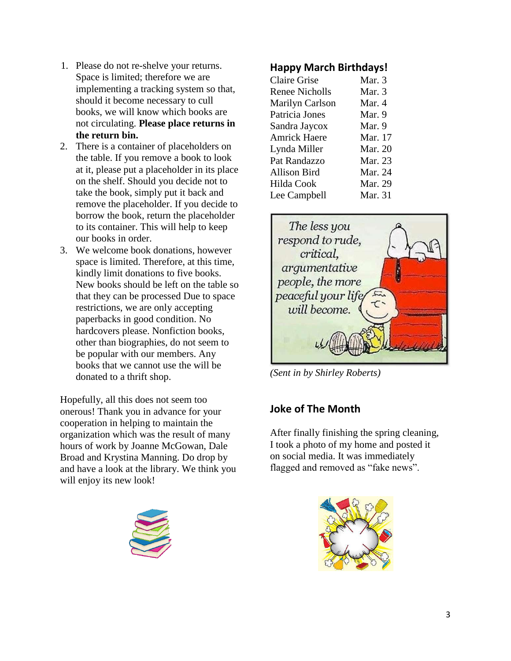- 1. Please do not re-shelve your returns. Space is limited; therefore we are implementing a tracking system so that, should it become necessary to cull books, we will know which books are not circulating. **Please place returns in the return bin.**
- 2. There is a container of placeholders on the table. If you remove a book to look at it, please put a placeholder in its place on the shelf. Should you decide not to take the book, simply put it back and remove the placeholder. If you decide to borrow the book, return the placeholder to its container. This will help to keep our books in order.
- 3. We welcome book donations, however space is limited. Therefore, at this time, kindly limit donations to five books. New books should be left on the table so that they can be processed Due to space restrictions, we are only accepting paperbacks in good condition. No hardcovers please. Nonfiction books, other than biographies, do not seem to be popular with our members. Any books that we cannot use the will be donated to a thrift shop.

Hopefully, all this does not seem too onerous! Thank you in advance for your cooperation in helping to maintain the organization which was the result of many hours of work by Joanne McGowan, Dale Broad and Krystina Manning. Do drop by and have a look at the library. We think you will enjoy its new look!



#### **Happy March Birthdays!**

| <b>Claire Grise</b> | Mar. 3         |
|---------------------|----------------|
| Renee Nicholls      | Mar. 3         |
| Marilyn Carlson     | Mar. 4         |
| Patricia Jones      | Mar. 9         |
| Sandra Jaycox       | Mar. 9         |
| <b>Amrick Haere</b> | Mar. 17        |
| Lynda Miller        | <b>Mar. 20</b> |
| Pat Randazzo        | Mar. 23        |
| Allison Bird        | Mar. 24        |
| Hilda Cook          | Mar. 29        |
| Lee Campbell        | Mar. 31        |
|                     |                |



*(Sent in by Shirley Roberts)*

#### **Joke of The Month**

After finally finishing the spring cleaning, I took a photo of my home and posted it on social media. It was immediately flagged and removed as "fake news".

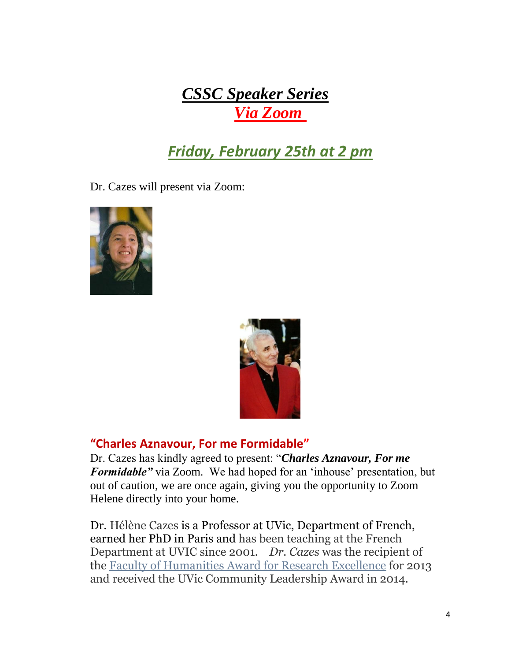## *CSSC Speaker Series Via Zoom*

## *Friday, February 25th at 2 pm*

Dr. Cazes will present via Zoom:





#### **"Charles Aznavour, For me Formidable"**

Dr. Cazes has kindly agreed to present: "*Charles Aznavour, For me Formidable"* via Zoom. We had hoped for an 'inhouse' presentation, but out of caution, we are once again, giving you the opportunity to Zoom Helene directly into your home.

Dr. Hélène Cazes is a Professor at UVic, Department of French, earned her PhD in Paris and has been teaching at the French Department at UVIC since 2001. *Dr. Cazes* was the recipient of the [Faculty of Humanities Award for Research Excellence](http://www.uvic.ca/humanities/french/home/news/archive/cazes-research-award.php) for 2013 and received the UVic Community Leadership Award in 2014.